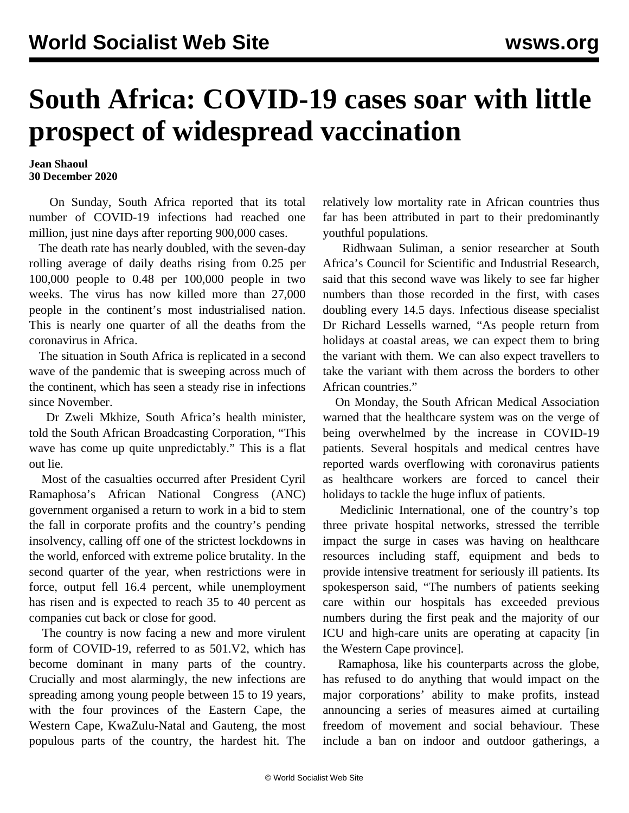## **South Africa: COVID-19 cases soar with little prospect of widespread vaccination**

## **Jean Shaoul 30 December 2020**

 On Sunday, South Africa reported that its total number of COVID-19 infections had reached one million, just nine days after reporting 900,000 cases.

 The death rate has nearly doubled, with the seven-day rolling average of daily deaths rising from 0.25 per 100,000 people to 0.48 per 100,000 people in two weeks. The virus has now killed more than 27,000 people in the continent's most industrialised nation. This is nearly one quarter of all the deaths from the coronavirus in Africa.

 The situation in South Africa is replicated in a second wave of the pandemic that is sweeping across much of the continent, which has seen a steady rise in infections since November.

 Dr Zweli Mkhize, South Africa's health minister, told the South African Broadcasting Corporation, "This wave has come up quite unpredictably." This is a flat out lie.

 Most of the casualties occurred after President Cyril Ramaphosa's African National Congress (ANC) government organised a return to work in a bid to stem the fall in corporate profits and the country's pending insolvency, calling off one of the strictest lockdowns in the world, enforced with extreme police brutality. In the second quarter of the year, when restrictions were in force, output fell 16.4 percent, while unemployment has risen and is expected to reach 35 to 40 percent as companies cut back or close for good.

 The country is now facing a new and more virulent form of COVID-19, referred to as 501.V2, which has become dominant in many parts of the country. Crucially and most alarmingly, the new infections are spreading among young people between 15 to 19 years, with the four provinces of the Eastern Cape, the Western Cape, KwaZulu-Natal and Gauteng, the most populous parts of the country, the hardest hit. The

relatively low mortality rate in African countries thus far has been attributed in part to their predominantly youthful populations.

 Ridhwaan Suliman, a senior researcher at South Africa's Council for Scientific and Industrial Research, said that this second wave was likely to see far higher numbers than those recorded in the first, with cases doubling every 14.5 days. Infectious disease specialist Dr Richard Lessells warned, "As people return from holidays at coastal areas, we can expect them to bring the variant with them. We can also expect travellers to take the variant with them across the borders to other African countries."

 On Monday, the South African Medical Association warned that the healthcare system was on the verge of being overwhelmed by the increase in COVID-19 patients. Several hospitals and medical centres have reported wards overflowing with coronavirus patients as healthcare workers are forced to cancel their holidays to tackle the huge influx of patients.

 Mediclinic International, one of the country's top three private hospital networks, stressed the terrible impact the surge in cases was having on healthcare resources including staff, equipment and beds to provide intensive treatment for seriously ill patients. Its spokesperson said, "The numbers of patients seeking care within our hospitals has exceeded previous numbers during the first peak and the majority of our ICU and high-care units are operating at capacity [in the Western Cape province].

 Ramaphosa, like his counterparts across the globe, has refused to do anything that would impact on the major corporations' ability to make profits, instead announcing a series of measures aimed at curtailing freedom of movement and social behaviour. These include a ban on indoor and outdoor gatherings, a